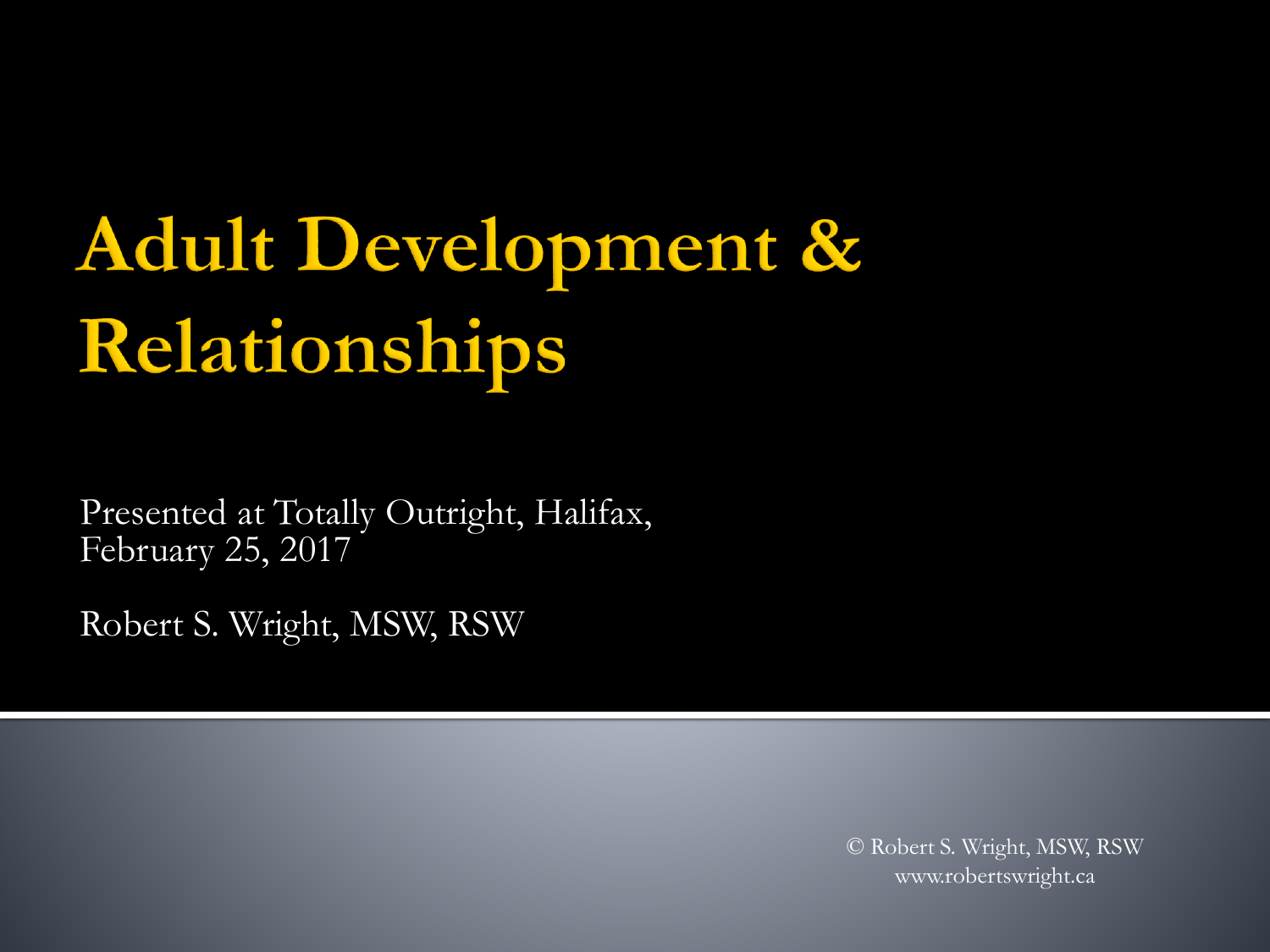# Adult Development & Relationships

Presented at Totally Outright, Halifax, February 25, 2017

Robert S. Wright, MSW, RSW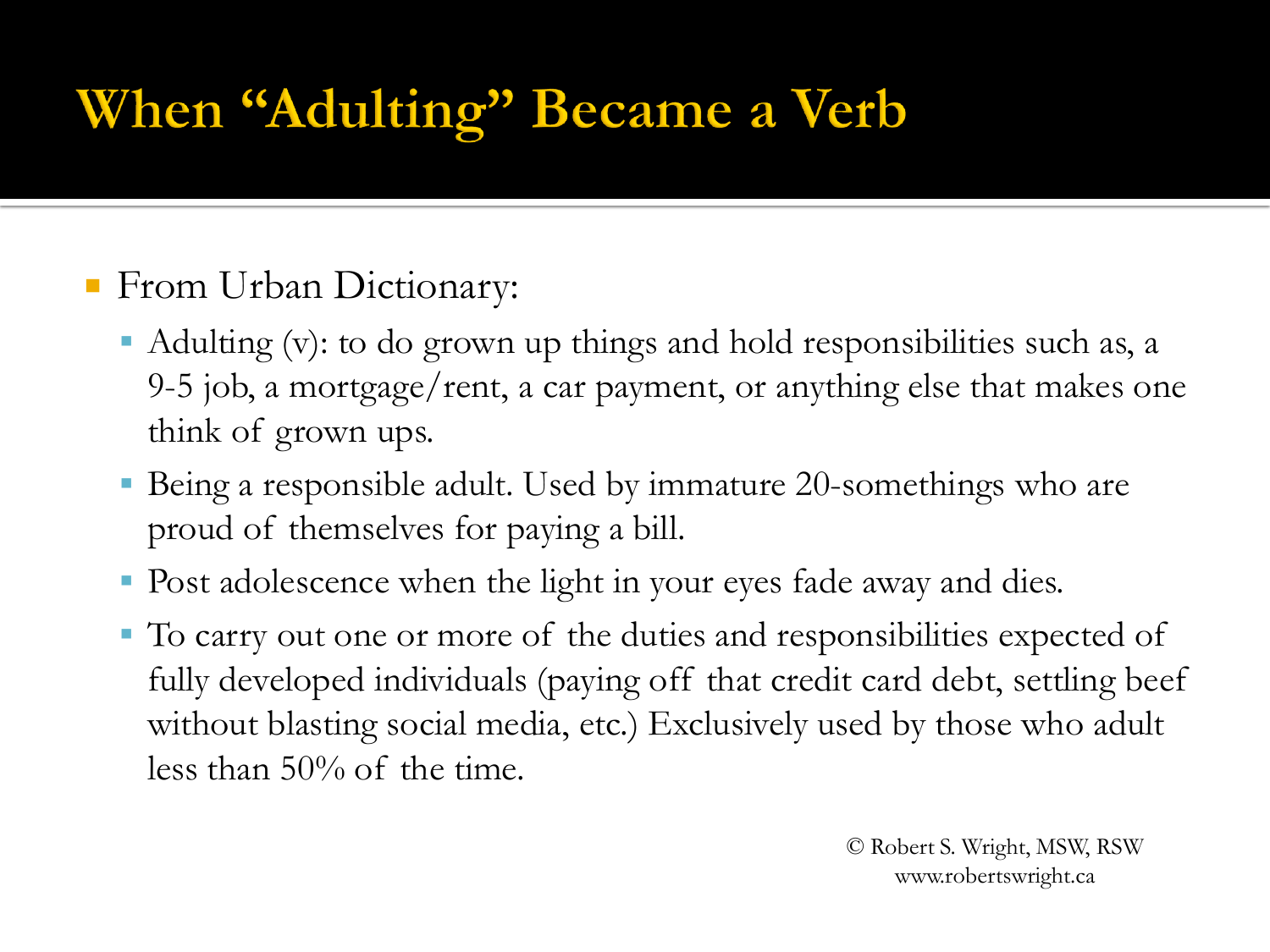# When "Adulting" Became a Verb

#### **From Urban Dictionary:**

- Adulting (v): to do grown up things and hold responsibilities such as, a 9-5 job, a mortgage/rent, a car payment, or anything else that makes one think of grown ups.
- Being a responsible adult. Used by immature 20-somethings who are proud of themselves for paying a bill.
- Post adolescence when the light in your eyes fade away and dies.
- To carry out one or more of the duties and responsibilities expected of fully developed individuals (paying off that credit card debt, settling beef without blasting social media, etc.) Exclusively used by those who adult less than 50% of the time.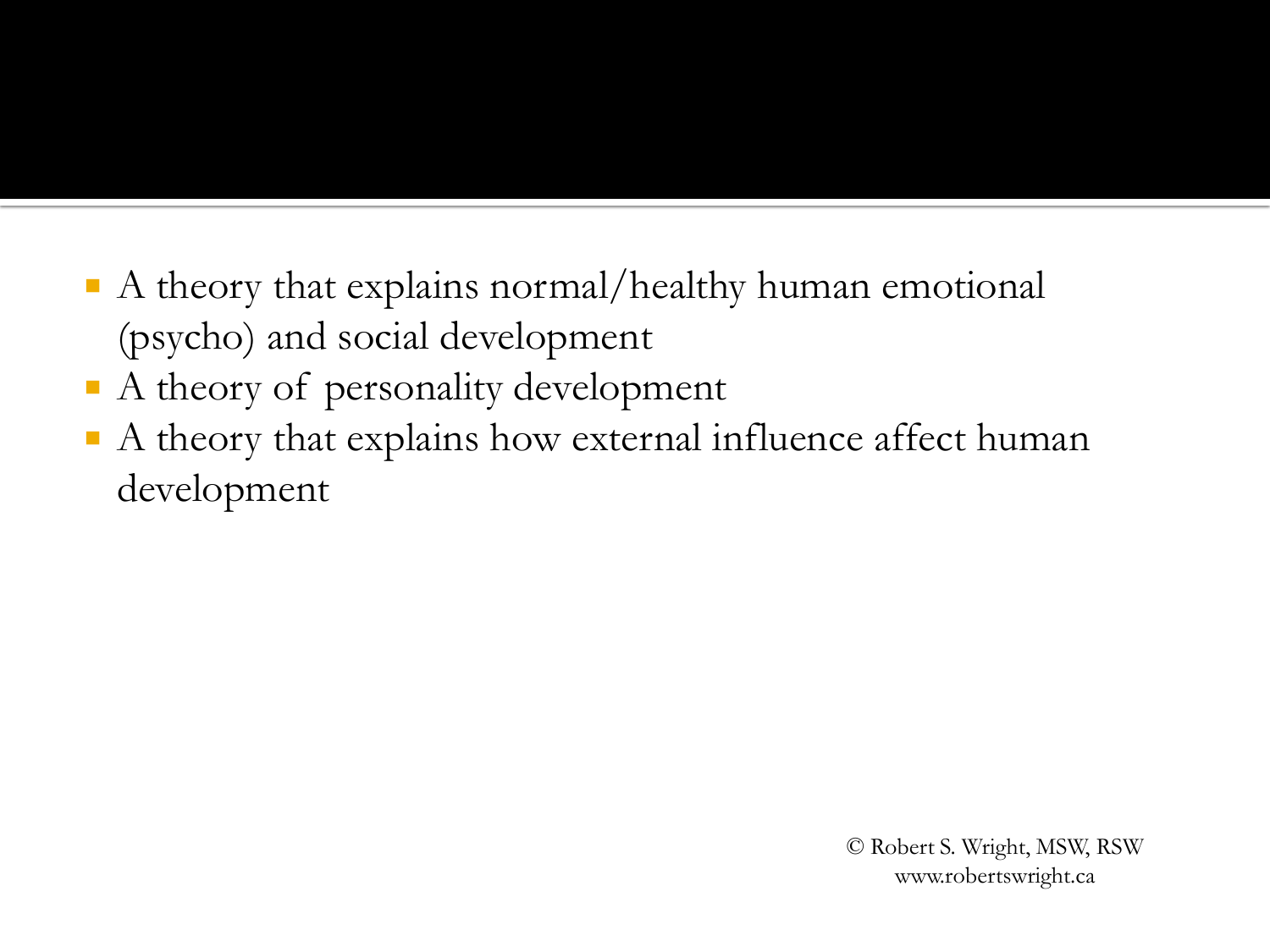- A theory that explains normal/healthy human emotional (psycho) and social development
- A theory of personality development
- A theory that explains how external influence affect human development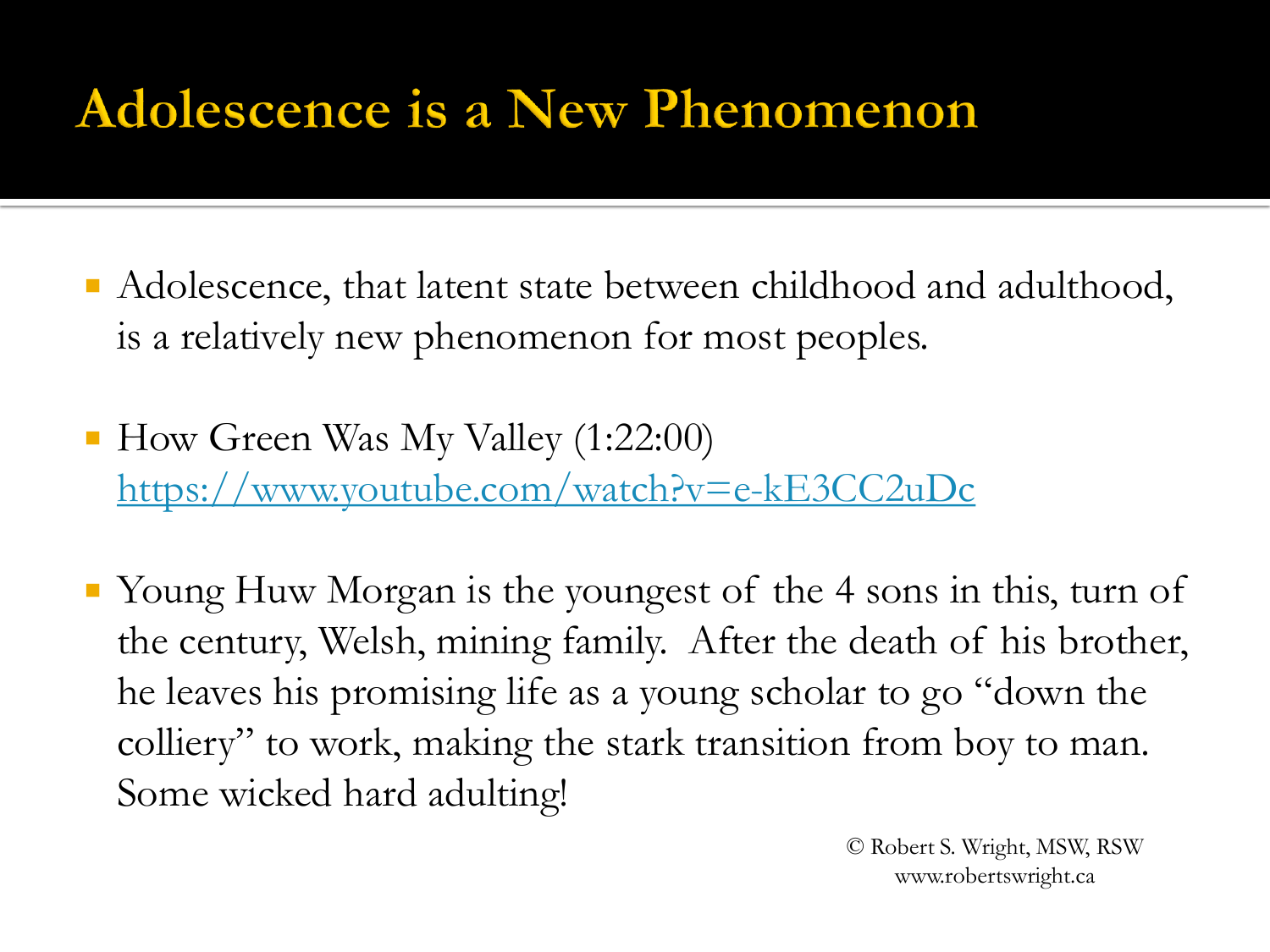#### Adolescence is a New Phenomenon

- Adolescence, that latent state between childhood and adulthood, is a relatively new phenomenon for most peoples.
- How Green Was My Valley (1:22:00) <https://www.youtube.com/watch?v=e-kE3CC2uDc>
- Young Huw Morgan is the youngest of the 4 sons in this, turn of the century, Welsh, mining family. After the death of his brother, he leaves his promising life as a young scholar to go "down the colliery" to work, making the stark transition from boy to man. Some wicked hard adulting!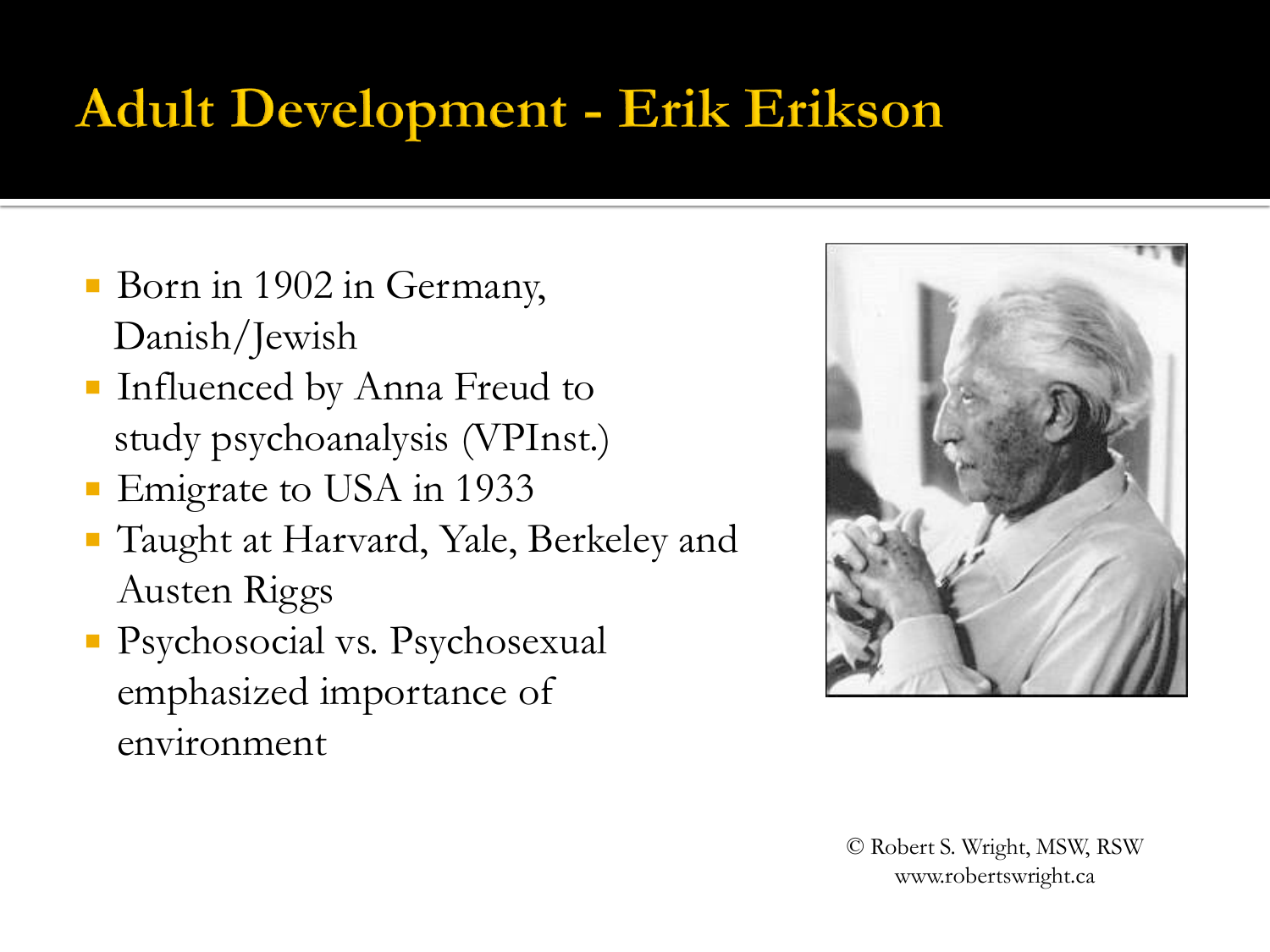### Adult Development - Erik Erikson

- Born in 1902 in Germany, Danish/Jewish
- **Influenced by Anna Freud to** study psychoanalysis (VPInst.)
- **Emigrate to USA in 1933**
- Taught at Harvard, Yale, Berkeley and Austen Riggs
- Psychosocial vs. Psychosexual emphasized importance of environment

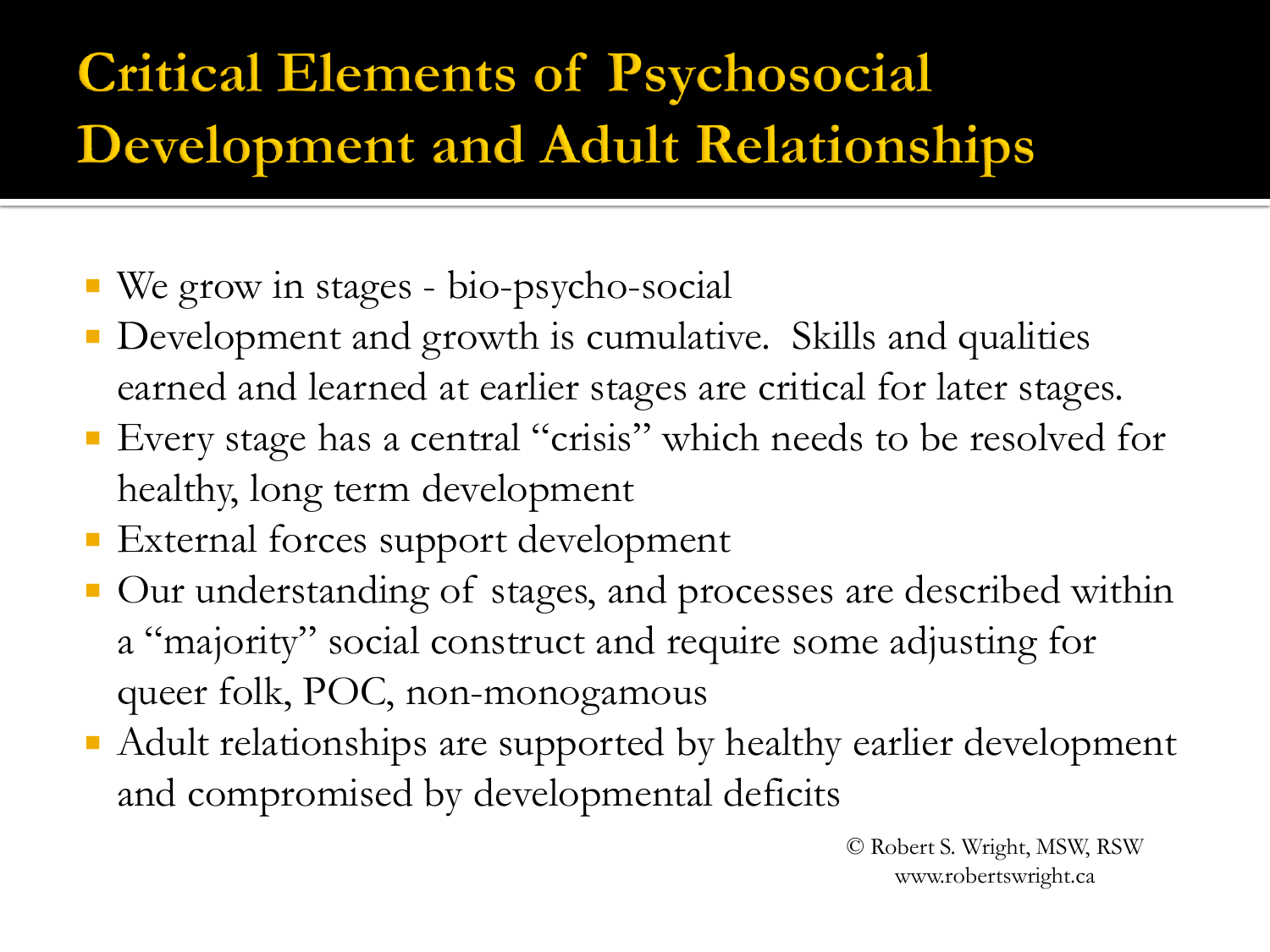# **Critical Elements of Psychosocial Development and Adult Relationships**

- We grow in stages bio-psycho-social
- **Development and growth is cumulative. Skills and qualities** earned and learned at earlier stages are critical for later stages.
- Every stage has a central "crisis" which needs to be resolved for healthy, long term development
- **External forces support development**
- Our understanding of stages, and processes are described within a "majority" social construct and require some adjusting for queer folk, POC, non-monogamous
- Adult relationships are supported by healthy earlier development and compromised by developmental deficits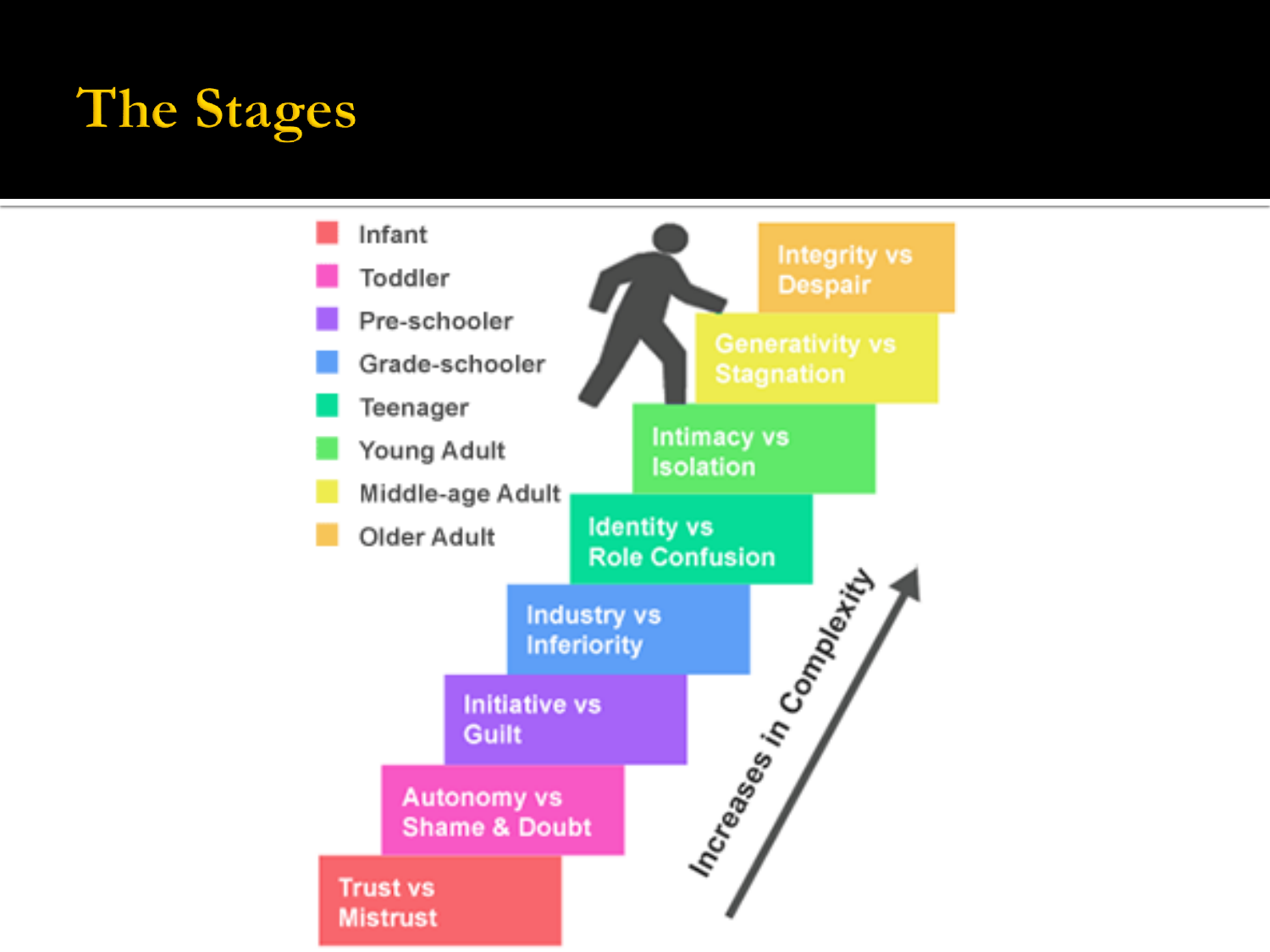# **The Stages**

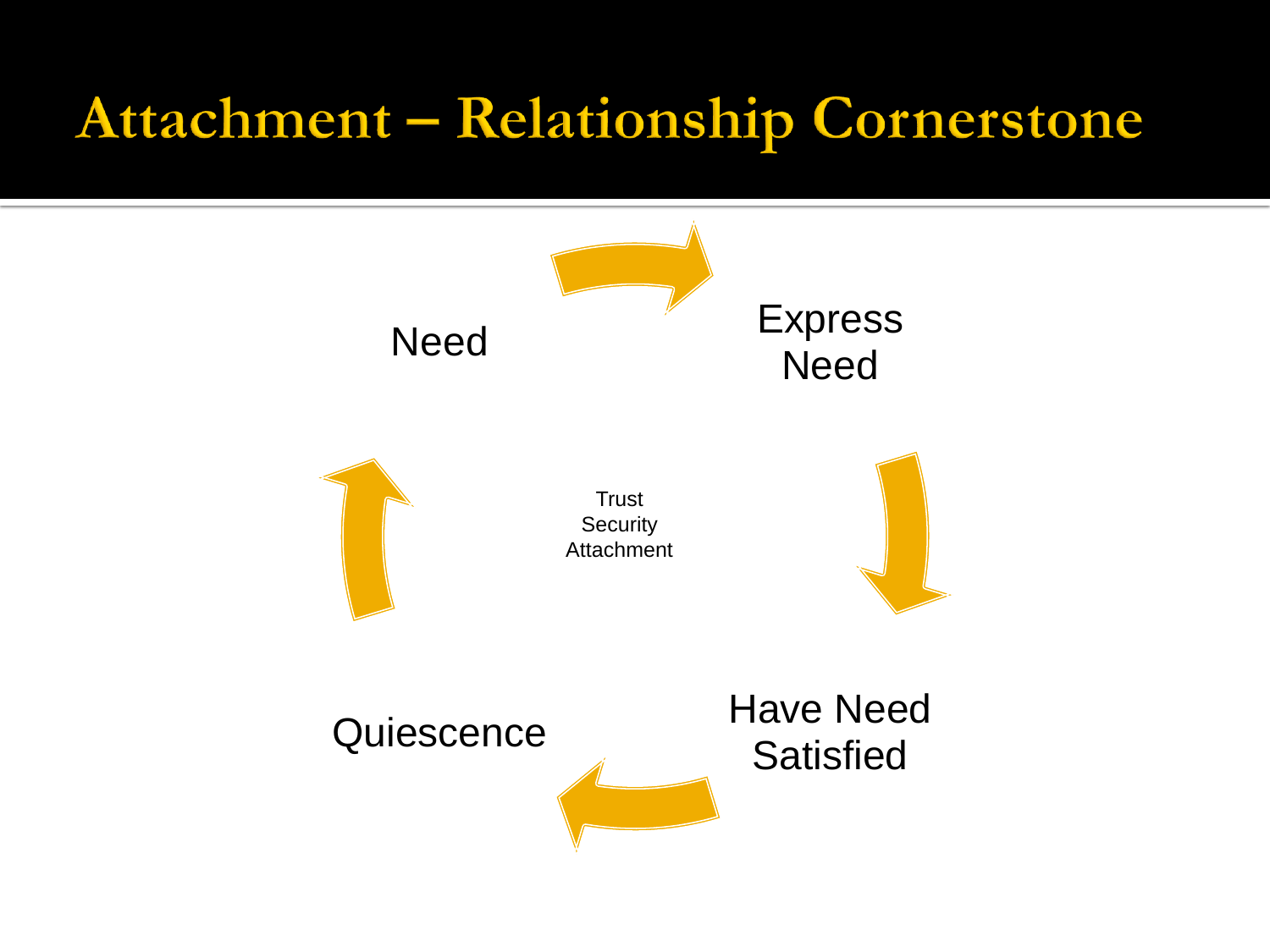# Attachment - Relationship Cornerstone